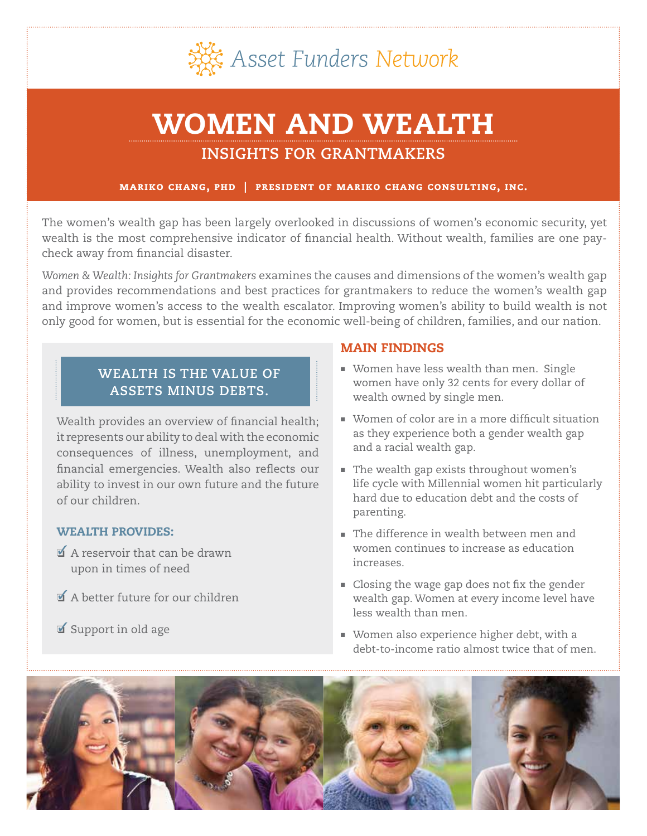

# WOMEN AND WEALTH

# **INSIGHTS FOR GRANTMAKERS**

## mariko chang, phd | president of mariko chang consulting, inc.

The women's wealth gap has been largely overlooked in discussions of women's economic security, yet wealth is the most comprehensive indicator of financial health. Without wealth, families are one paycheck away from financial disaster.

*Women & Wealth: Insights for Grantmakers* examines the causes and dimensions of the women's wealth gap and provides recommendations and best practices for grantmakers to reduce the women's wealth gap and improve women's access to the wealth escalator. Improving women's ability to build wealth is not only good for women, but is essential for the economic well-being of children, families, and our nation.

## **WEALTH IS THE VALUE OF ASSETS MINUS DEBTS.**

Wealth provides an overview of financial health; it represents our ability to deal with the economic consequences of illness, unemployment, and financial emergencies. Wealth also reflects our ability to invest in our own future and the future of our children.

## WEALTH PROVIDES:

- ❏ A reservoir that can be drawn upon in times of need
- ❏ A better future for our children
- ❏ Support in old age

## MAIN FINDINGS

- **Women have less wealth than men. Single** women have only 32 cents for every dollar of wealth owned by single men.
- Women of color are in a more difficult situation as they experience both a gender wealth gap and a racial wealth gap.
- $\blacksquare$  The wealth gap exists throughout women's life cycle with Millennial women hit particularly hard due to education debt and the costs of parenting.
- <sup>n</sup> The difference in wealth between men and women continues to increase as education increases.
- **Example 1** Closing the wage gap does not fix the gender wealth gap. Women at every income level have less wealth than men.
- **Nomen also experience higher debt, with a** debt-to-income ratio almost twice that of men.